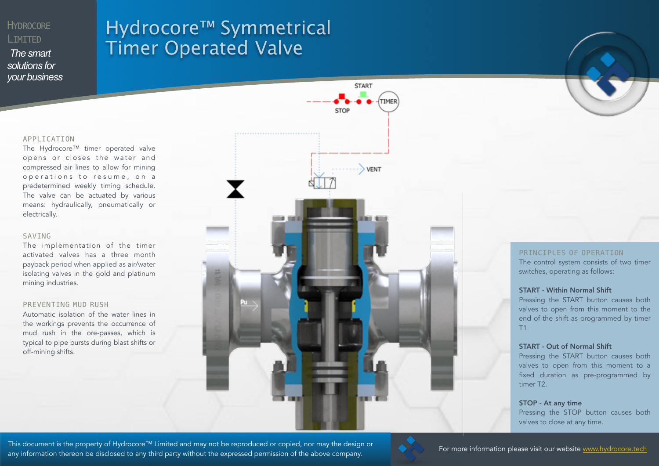### **HYDROCORE** LIMITED

*The smart solutions for your business*

## Hydrocore™ Symmetrical Timer Operated Valve

#### APPLICATION

The Hydrocore™ timer operated valve opens or closes the water and compressed air lines to allow for mining operations to resume, on a predetermined weekly timing schedule. The valve can be actuated by various means: hydraulically, pneumatically or electrically.

#### SAVING

The implementation of the timer activated valves has a three month payback period when applied as air/water isolating valves in the gold and platinum mining industries.

#### PREVENTING MUD RUSH

Automatic isolation of the water lines in the workings prevents the occurrence of mud rush in the ore-passes, which is typical to pipe bursts during blast shifts or off-mining shifts.



#### PRINCIPLES OF OPERATION

The control system consists of two timer switches, operating as follows:

#### START - Within Normal Shift

Pressing the START button causes both valves to open from this moment to the end of the shift as programmed by timer T1.

#### START - Out of Normal Shift

Pressing the START button causes both valves to open from this moment to a fixed duration as pre-programmed by timer T2.

STOP - At any time Pressing the STOP button causes both valves to close at any time.

This document is the property of Hydrocore™ Limited and may not be reproduced or copied, nor may the design or<br>This document is the property of Hydrocore ™ Limited and may not be reproduced or copied, nor may the design o any information thereon be disclosed to any third party without the expressed permission of the above company.